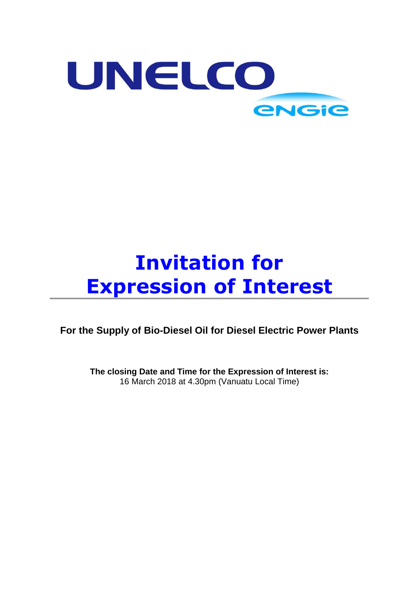

# **Invitation for Expression of Interest**

**For the Supply of Bio-Diesel Oil for Diesel Electric Power Plants**

**The closing Date and Time for the Expression of Interest is:** 16 March 2018 at 4.30pm (Vanuatu Local Time)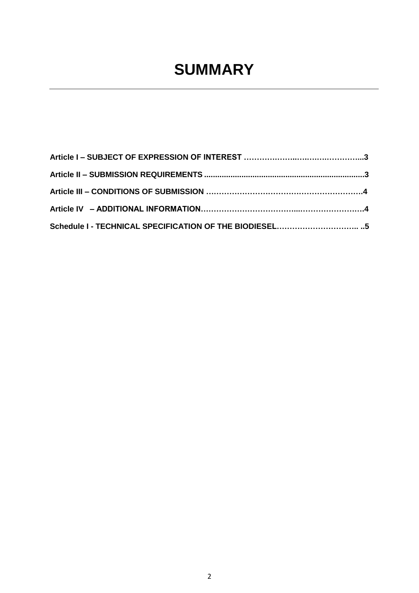## **SUMMARY**

| Schedule I - TECHNICAL SPECIFICATION OF THE BIODIESEL5 |  |
|--------------------------------------------------------|--|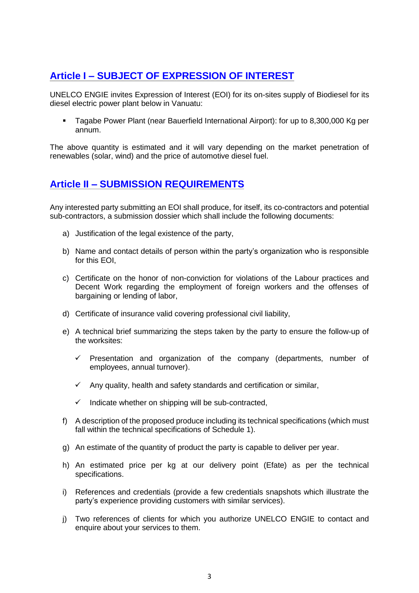## <span id="page-2-0"></span>**Article I – SUBJECT OF EXPRESSION OF INTEREST**

UNELCO ENGIE invites Expression of Interest (EOI) for its on-sites supply of Biodiesel for its diesel electric power plant below in Vanuatu:

▪ Tagabe Power Plant (near Bauerfield International Airport): for up to 8,300,000 Kg per annum.

The above quantity is estimated and it will vary depending on the market penetration of renewables (solar, wind) and the price of automotive diesel fuel.

## <span id="page-2-1"></span>**Article II – SUBMISSION REQUIREMENTS**

Any interested party submitting an EOI shall produce, for itself, its co-contractors and potential sub-contractors, a submission dossier which shall include the following documents:

- a) Justification of the legal existence of the party,
- b) Name and contact details of person within the party's organization who is responsible for this EOI,
- c) Certificate on the honor of non-conviction for violations of the Labour practices and Decent Work regarding the employment of foreign workers and the offenses of bargaining or lending of labor,
- d) Certificate of insurance valid covering professional civil liability,
- e) A technical brief summarizing the steps taken by the party to ensure the follow-up of the worksites:
	- $\checkmark$  Presentation and organization of the company (departments, number of employees, annual turnover).
	- $\checkmark$  Any quality, health and safety standards and certification or similar,
	- $\checkmark$  Indicate whether on shipping will be sub-contracted,
- f) A description of the proposed produce including its technical specifications (which must fall within the technical specifications of Schedule 1).
- g) An estimate of the quantity of product the party is capable to deliver per year.
- h) An estimated price per kg at our delivery point (Efate) as per the technical specifications.
- i) References and credentials (provide a few credentials snapshots which illustrate the party's experience providing customers with similar services).
- j) Two references of clients for which you authorize UNELCO ENGIE to contact and enquire about your services to them.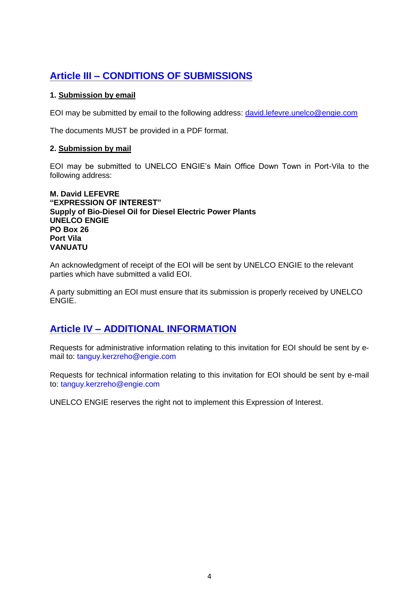## <span id="page-3-0"></span>**Article III – CONDITIONS OF SUBMISSIONS**

### **1. Submission by email**

EOI may be submitted by email to the following address: [david.lefevre.unelco@engie.com](mailto:david.lefevre.unelco@engie.com)

The documents MUST be provided in a PDF format.

#### **2. Submission by mail**

EOI may be submitted to UNELCO ENGIE's Main Office Down Town in Port-Vila to the following address:

**M. David LEFEVRE "EXPRESSION OF INTEREST" Supply of Bio-Diesel Oil for Diesel Electric Power Plants UNELCO ENGIE PO Box 26 Port Vila VANUATU**

An acknowledgment of receipt of the EOI will be sent by UNELCO ENGIE to the relevant parties which have submitted a valid EOI.

A party submitting an EOI must ensure that its submission is properly received by UNELCO ENGIE.

## **Article IV – ADDITIONAL INFORMATION**

Requests for administrative information relating to this invitation for EOI should be sent by email to: tanguy.kerzreho@engie.com

Requests for technical information relating to this invitation for EOI should be sent by e-mail to: tanguy.kerzreho@engie.com

UNELCO ENGIE reserves the right not to implement this Expression of Interest.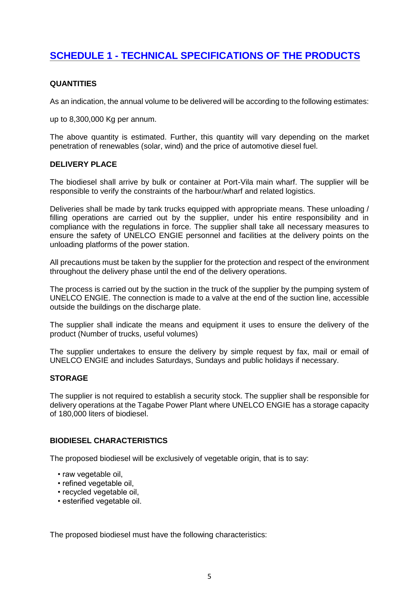## **SCHEDULE 1 - TECHNICAL SPECIFICATIONS OF THE PRODUCTS**

#### **QUANTITIES**

As an indication, the annual volume to be delivered will be according to the following estimates:

up to 8,300,000 Kg per annum.

The above quantity is estimated. Further, this quantity will vary depending on the market penetration of renewables (solar, wind) and the price of automotive diesel fuel.

#### **DELIVERY PLACE**

The biodiesel shall arrive by bulk or container at Port-Vila main wharf. The supplier will be responsible to verify the constraints of the harbour/wharf and related logistics.

Deliveries shall be made by tank trucks equipped with appropriate means. These unloading / filling operations are carried out by the supplier, under his entire responsibility and in compliance with the regulations in force. The supplier shall take all necessary measures to ensure the safety of UNELCO ENGIE personnel and facilities at the delivery points on the unloading platforms of the power station.

All precautions must be taken by the supplier for the protection and respect of the environment throughout the delivery phase until the end of the delivery operations.

The process is carried out by the suction in the truck of the supplier by the pumping system of UNELCO ENGIE. The connection is made to a valve at the end of the suction line, accessible outside the buildings on the discharge plate.

The supplier shall indicate the means and equipment it uses to ensure the delivery of the product (Number of trucks, useful volumes)

The supplier undertakes to ensure the delivery by simple request by fax, mail or email of UNELCO ENGIE and includes Saturdays, Sundays and public holidays if necessary.

#### **STORAGE**

The supplier is not required to establish a security stock. The supplier shall be responsible for delivery operations at the Tagabe Power Plant where UNELCO ENGIE has a storage capacity of 180,000 liters of biodiesel.

#### **BIODIESEL CHARACTERISTICS**

The proposed biodiesel will be exclusively of vegetable origin, that is to say:

- raw vegetable oil,
- refined vegetable oil,
- recycled vegetable oil,
- esterified vegetable oil.

The proposed biodiesel must have the following characteristics: